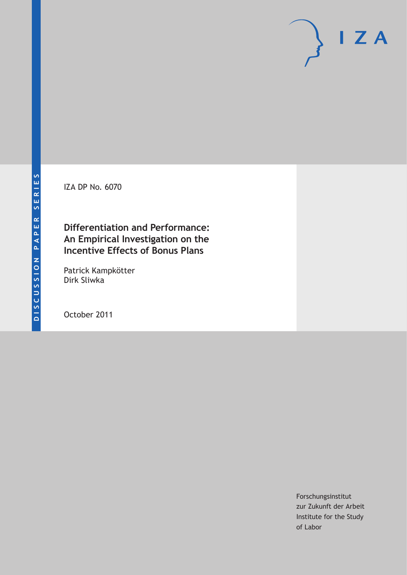IZA DP No. 6070

## **Differentiation and Performance: An Empirical Investigation on the Incentive Effects of Bonus Plans**

Patrick Kampkötter Dirk Sliwka

October 2011

Forschungsinstitut zur Zukunft der Arbeit Institute for the Study of Labor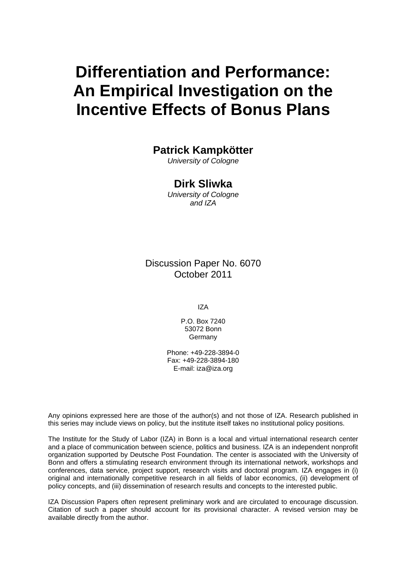# **Differentiation and Performance: An Empirical Investigation on the Incentive Effects of Bonus Plans**

## **Patrick Kampkötter**

*University of Cologne* 

#### **Dirk Sliwka**

*University of Cologne and IZA* 

Discussion Paper No. 6070 October 2011

IZA

P.O. Box 7240 53072 Bonn Germany

Phone: +49-228-3894-0 Fax: +49-228-3894-180 E-mail: [iza@iza.org](mailto:iza@iza.org)

Any opinions expressed here are those of the author(s) and not those of IZA. Research published in this series may include views on policy, but the institute itself takes no institutional policy positions.

The Institute for the Study of Labor (IZA) in Bonn is a local and virtual international research center and a place of communication between science, politics and business. IZA is an independent nonprofit organization supported by Deutsche Post Foundation. The center is associated with the University of Bonn and offers a stimulating research environment through its international network, workshops and conferences, data service, project support, research visits and doctoral program. IZA engages in (i) original and internationally competitive research in all fields of labor economics, (ii) development of policy concepts, and (iii) dissemination of research results and concepts to the interested public.

IZA Discussion Papers often represent preliminary work and are circulated to encourage discussion. Citation of such a paper should account for its provisional character. A revised version may be available directly from the author.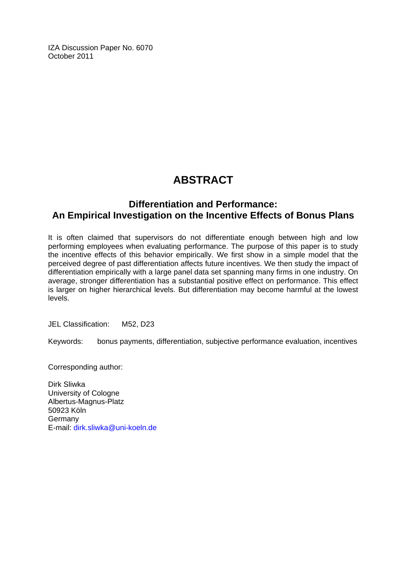IZA Discussion Paper No. 6070 October 2011

## **ABSTRACT**

#### **Differentiation and Performance: An Empirical Investigation on the Incentive Effects of Bonus Plans**

It is often claimed that supervisors do not differentiate enough between high and low performing employees when evaluating performance. The purpose of this paper is to study the incentive effects of this behavior empirically. We first show in a simple model that the perceived degree of past differentiation affects future incentives. We then study the impact of differentiation empirically with a large panel data set spanning many firms in one industry. On average, stronger differentiation has a substantial positive effect on performance. This effect is larger on higher hierarchical levels. But differentiation may become harmful at the lowest levels.

JEL Classification: M52, D23

Keywords: bonus payments, differentiation, subjective performance evaluation, incentives

Corresponding author:

Dirk Sliwka University of Cologne Albertus-Magnus-Platz 50923 Köln Germany E-mail: [dirk.sliwka@uni-koeln.de](mailto:dirk.sliwka@uni-koeln.de)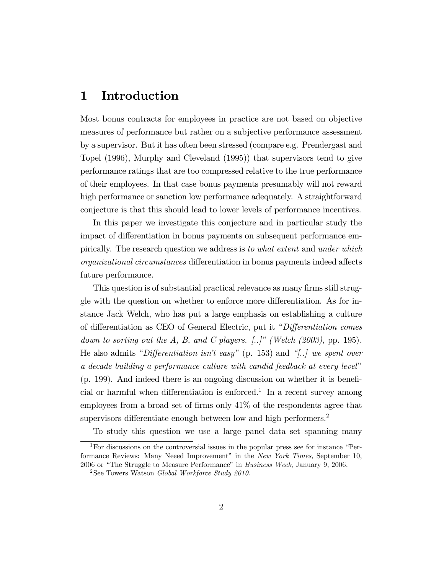### 1 Introduction

Most bonus contracts for employees in practice are not based on objective measures of performance but rather on a subjective performance assessment by a supervisor. But it has often been stressed (compare e.g. Prendergast and Topel (1996), Murphy and Cleveland (1995)) that supervisors tend to give performance ratings that are too compressed relative to the true performance of their employees. In that case bonus payments presumably will not reward high performance or sanction low performance adequately. A straightforward conjecture is that this should lead to lower levels of performance incentives.

In this paper we investigate this conjecture and in particular study the impact of differentiation in bonus payments on subsequent performance empirically. The research question we address is to what extent and under which organizational circumstances differentiation in bonus payments indeed affects future performance.

This question is of substantial practical relevance as many firms still struggle with the question on whether to enforce more differentiation. As for instance Jack Welch, who has put a large emphasis on establishing a culture of differentiation as CEO of General Electric, put it "Differentiation comes down to sorting out the A, B, and C players.  $\lbrack .. \rbrack^r$  (Welch (2003), pp. 195). He also admits "Differentiation isn't easy" (p. 153) and "[..] we spent over a decade building a performance culture with candid feedback at every level"  $(p. 199)$ . And indeed there is an ongoing discussion on whether it is beneficial or harmful when differentiation is enforced.<sup>1</sup> In a recent survey among employees from a broad set of firms only  $41\%$  of the respondents agree that supervisors differentiate enough between low and high performers.<sup>2</sup>

To study this question we use a large panel data set spanning many

 $1$ For discussions on the controversial issues in the popular press see for instance  $P^2$ formance Reviews: Many Neeed Improvement" in the New York Times, September 10, 2006 or "The Struggle to Measure Performance" in Business Week, January 9, 2006.

<sup>&</sup>lt;sup>2</sup>See Towers Watson *Global Workforce Study 2010*.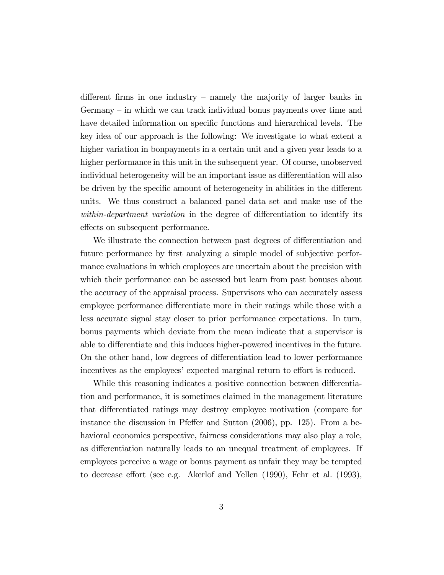different firms in one industry  $-$  namely the majority of larger banks in Germany  $-\text{in}$  which we can track individual bonus payments over time and have detailed information on specific functions and hierarchical levels. The key idea of our approach is the following: We investigate to what extent a higher variation in bonpayments in a certain unit and a given year leads to a higher performance in this unit in the subsequent year. Of course, unobserved individual heterogeneity will be an important issue as differentiation will also be driven by the specific amount of heterogeneity in abilities in the different units. We thus construct a balanced panel data set and make use of the within-department variation in the degree of differentiation to identify its effects on subsequent performance.

We illustrate the connection between past degrees of differentiation and future performance by first analyzing a simple model of subjective performance evaluations in which employees are uncertain about the precision with which their performance can be assessed but learn from past bonuses about the accuracy of the appraisal process. Supervisors who can accurately assess employee performance differentiate more in their ratings while those with a less accurate signal stay closer to prior performance expectations. In turn, bonus payments which deviate from the mean indicate that a supervisor is able to differentiate and this induces higher-powered incentives in the future. On the other hand, low degrees of differentiation lead to lower performance incentives as the employees' expected marginal return to effort is reduced.

While this reasoning indicates a positive connection between differentiation and performance, it is sometimes claimed in the management literature that differentiated ratings may destroy employee motivation (compare for instance the discussion in Pfeffer and Sutton  $(2006)$ , pp. 125). From a behavioral economics perspective, fairness considerations may also play a role, as differentiation naturally leads to an unequal treatment of employees. If employees perceive a wage or bonus payment as unfair they may be tempted to decrease effort (see e.g. Akerlof and Yellen  $(1990)$ , Fehr et al.  $(1993)$ ,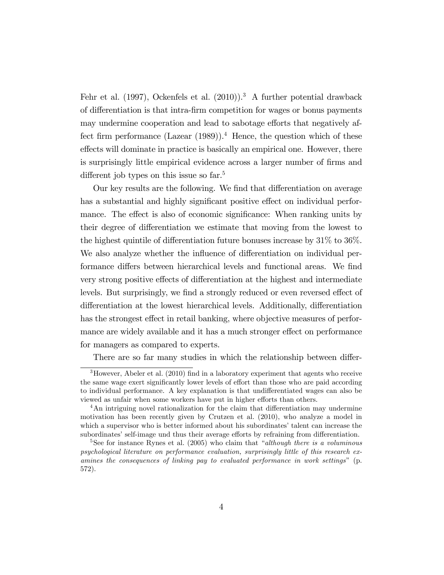Fehr et al.  $(1997)$ , Ockenfels et al.  $(2010)$ .<sup>3</sup> A further potential drawback of differentiation is that intra-firm competition for wages or bonus payments may undermine cooperation and lead to sabotage efforts that negatively affect firm performance (Lazear  $(1989)$ ).<sup>4</sup> Hence, the question which of these effects will dominate in practice is basically an empirical one. However, there is surprisingly little empirical evidence across a larger number of firms and different job types on this issue so far.<sup>5</sup>

Our key results are the following. We find that differentiation on average has a substantial and highly significant positive effect on individual performance. The effect is also of economic significance: When ranking units by their degree of differentiation we estimate that moving from the lowest to the highest quintile of differentiation future bonuses increase by  $31\%$  to  $36\%$ . We also analyze whether the influence of differentiation on individual performance differs between hierarchical levels and functional areas. We find very strong positive effects of differentiation at the highest and intermediate levels. But surprisingly, we find a strongly reduced or even reversed effect of differentiation at the lowest hierarchical levels. Additionally, differentiation has the strongest effect in retail banking, where objective measures of performance are widely available and it has a much stronger effect on performance for managers as compared to experts.

There are so far many studies in which the relationship between differ-

 $3$ However, Abeler et al. (2010) find in a laboratory experiment that agents who receive the same wage exert significantly lower levels of effort than those who are paid according to individual performance. A key explanation is that undifferentiated wages can also be viewed as unfair when some workers have put in higher efforts than others.

<sup>&</sup>lt;sup>4</sup>An intriguing novel rationalization for the claim that differentiation may undermine motivation has been recently given by Crutzen et al. (2010), who analyze a model in which a supervisor who is better informed about his subordinates' talent can increase the subordinates' self-image und thus their average efforts by refraining from differentiation.

<sup>&</sup>lt;sup>5</sup>See for instance Rynes et al. (2005) who claim that *"although there is a voluminous* psychological literature on performance evaluation, surprisingly little of this research examines the consequences of linking pay to evaluated performance in work settings"  $(p.$ 572).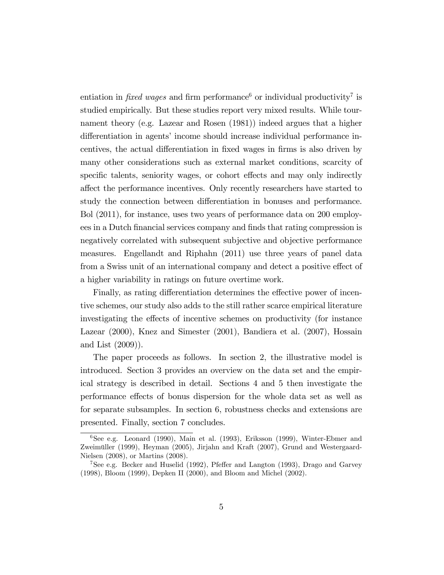entiation in *fixed wages* and firm performance<sup>6</sup> or individual productivity<sup>7</sup> is studied empirically. But these studies report very mixed results. While tournament theory (e.g. Lazear and Rosen (1981)) indeed argues that a higher differentiation in agents' income should increase individual performance incentives, the actual differentiation in fixed wages in firms is also driven by many other considerations such as external market conditions, scarcity of specific talents, seniority wages, or cohort effects and may only indirectly a§ect the performance incentives. Only recently researchers have started to study the connection between differentiation in bonuses and performance. Bol (2011), for instance, uses two years of performance data on 200 employees in a Dutch financial services company and finds that rating compression is negatively correlated with subsequent subjective and objective performance measures. Engellandt and Riphahn (2011) use three years of panel data from a Swiss unit of an international company and detect a positive effect of a higher variability in ratings on future overtime work.

Finally, as rating differentiation determines the effective power of incentive schemes, our study also adds to the still rather scarce empirical literature investigating the effects of incentive schemes on productivity (for instance Lazear (2000), Knez and Simester (2001), Bandiera et al. (2007), Hossain and List (2009)).

The paper proceeds as follows. In section 2, the illustrative model is introduced. Section 3 provides an overview on the data set and the empirical strategy is described in detail. Sections 4 and 5 then investigate the performance effects of bonus dispersion for the whole data set as well as for separate subsamples. In section 6, robustness checks and extensions are presented. Finally, section 7 concludes.

<sup>6</sup>See e.g. Leonard (1990), Main et al. (1993), Eriksson (1999), Winter-Ebmer and Zweimüller (1999), Heyman (2005), Jirjahn and Kraft (2007), Grund and Westergaard-Nielsen (2008), or Martins (2008).

<sup>&</sup>lt;sup>7</sup>See e.g. Becker and Huselid (1992), Pfeffer and Langton (1993), Drago and Garvey (1998), Bloom (1999), Depken II (2000), and Bloom and Michel (2002).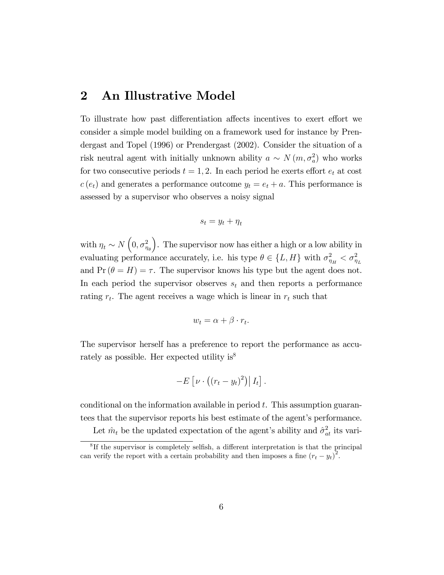### 2 An Illustrative Model

To illustrate how past differentiation affects incentives to exert effort we consider a simple model building on a framework used for instance by Prendergast and Topel (1996) or Prendergast (2002). Consider the situation of a risk neutral agent with initially unknown ability  $a \sim N(m, \sigma_a^2)$  who works for two consecutive periods  $t = 1, 2$ . In each period he exerts effort  $e_t$  at cost  $c(e_t)$  and generates a performance outcome  $y_t = e_t + a$ . This performance is assessed by a supervisor who observes a noisy signal

$$
s_t = y_t + \eta_t
$$

with  $\eta_t \sim N\left(0, \sigma_{\eta_\theta}^2\right)$  . The supervisor now has either a high or a low ability in evaluating performance accurately, i.e. his type  $\theta \in \{L, H\}$  with  $\sigma_{\eta_H}^2 < \sigma_{\eta_L}^2$ and  $Pr(\theta = H) = \tau$ . The supervisor knows his type but the agent does not. In each period the supervisor observes  $s_t$  and then reports a performance rating  $r_t$ . The agent receives a wage which is linear in  $r_t$  such that

$$
w_t = \alpha + \beta \cdot r_t.
$$

The supervisor herself has a preference to report the performance as accurately as possible. Her expected utility is<sup>8</sup>

$$
-E\left[\nu\cdot\left((r_t-y_t)^2\right)\big|I_t\right].
$$

conditional on the information available in period  $t$ . This assumption guarantees that the supervisor reports his best estimate of the agent's performance.

Let  $\hat{m}_t$  be the updated expectation of the agent's ability and  $\hat{\sigma}_{at}^2$  its vari-

<sup>&</sup>lt;sup>8</sup>If the supervisor is completely selfish, a different interpretation is that the principal can verify the report with a certain probability and then imposes a fine  $(r_t - y_t)^2$ .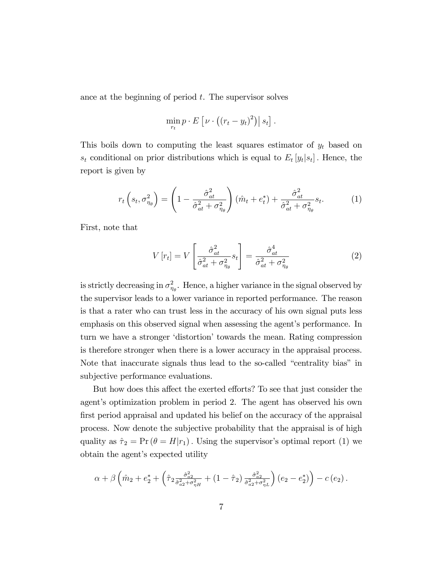ance at the beginning of period  $t$ . The supervisor solves

$$
\min_{r_t} p \cdot E\left[\nu \cdot ((r_t - y_t)^2)\right] s_t].
$$

This boils down to computing the least squares estimator of  $y_t$  based on  $s_t$  conditional on prior distributions which is equal to  $E_t[y_t|s_t]$ . Hence, the report is given by

$$
r_t\left(s_t, \sigma_{\eta_\theta}^2\right) = \left(1 - \frac{\hat{\sigma}_{at}^2}{\hat{\sigma}_{at}^2 + \sigma_{\eta_\theta}^2}\right)(\hat{m}_t + e_t^*) + \frac{\hat{\sigma}_{at}^2}{\hat{\sigma}_{at}^2 + \sigma_{\eta_\theta}^2} s_t.
$$
 (1)

First, note that

$$
V[r_t] = V\left[\frac{\hat{\sigma}_{at}^2}{\hat{\sigma}_{at}^2 + \sigma_{\eta_\theta}^2} s_t\right] = \frac{\hat{\sigma}_{at}^4}{\hat{\sigma}_{at}^2 + \sigma_{\eta_\theta}^2} \tag{2}
$$

is strictly decreasing in  $\sigma_{\eta_{\theta}}^2$ . Hence, a higher variance in the signal observed by the supervisor leads to a lower variance in reported performance. The reason is that a rater who can trust less in the accuracy of his own signal puts less emphasis on this observed signal when assessing the agent's performance. In turn we have a stronger 'distortion' towards the mean. Rating compression is therefore stronger when there is a lower accuracy in the appraisal process. Note that inaccurate signals thus lead to the so-called "centrality bias" in subjective performance evaluations.

But how does this affect the exerted efforts? To see that just consider the agent's optimization problem in period 2. The agent has observed his own first period appraisal and updated his belief on the accuracy of the appraisal process. Now denote the subjective probability that the appraisal is of high quality as  $\hat{\tau}_2 = \Pr (\theta = H|r_1)$ . Using the supervisor's optimal report (1) we obtain the agent's expected utility

$$
\alpha + \beta \left( \hat{m}_2 + e_2^* + \left( \hat{\tau}_2 \frac{\hat{\sigma}_{a2}^2}{\hat{\sigma}_{a2}^2 + \hat{\sigma}_{\eta H}^2} + (1 - \hat{\tau}_2) \frac{\hat{\sigma}_{a2}^2}{\hat{\sigma}_{a2}^2 + \hat{\sigma}_{\eta L}^2} \right) (e_2 - e_2^*) \right) - c (e_2).
$$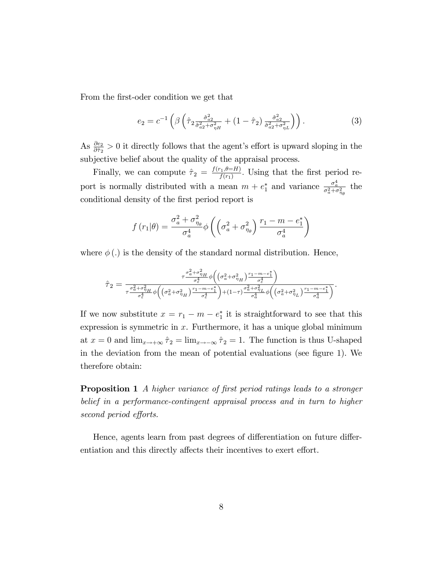From the first-oder condition we get that

$$
e_2 = c^{-1} \left( \beta \left( \hat{\tau}_2 \frac{\hat{\sigma}_{a_2}^2}{\hat{\sigma}_{a_2}^2 + \hat{\sigma}_{\eta H}^2} + (1 - \hat{\tau}_2) \frac{\hat{\sigma}_{a_2}^2}{\hat{\sigma}_{a_2}^2 + \hat{\sigma}_{\eta L}^2} \right) \right). \tag{3}
$$

As  $\frac{\partial e_2}{\partial \hat{\tau}_2} > 0$  it directly follows that the agent's effort is upward sloping in the subjective belief about the quality of the appraisal process.

Finally, we can compute  $\hat{\tau}_2 = \frac{f(r_1,\theta=H)}{f(r_1)}$  $\frac{\Gamma(1,\theta=H)}{f(r_1)}$ . Using that the first period report is normally distributed with a mean  $m + e_1^*$  and variance  $\frac{\sigma_a^4}{\sigma_a^2 + \sigma_{\eta_\theta}^2}$  the conditional density of the first period report is

$$
f(r_1|\theta) = \frac{\sigma_a^2 + \sigma_{\eta_\theta}^2}{\sigma_a^4} \phi \left( \left( \sigma_a^2 + \sigma_{\eta_\theta}^2 \right) \frac{r_1 - m - e_1^*}{\sigma_a^4} \right)
$$

where  $\phi(.)$  is the density of the standard normal distribution. Hence,

$$
\hat{\tau}_2 = \frac{\tau^{\frac{\sigma_a^2 + \sigma_{\eta_H}^2}{\sigma_c^4}}\phi\left(\left(\sigma_a^2 + \sigma_{\eta_H}^2\right)\frac{r_1 - m - e_1^*}{\sigma_c^4}\right)}{\tau^{\frac{\sigma_a^2 + \sigma_{\eta_H}^2}{\sigma_c^4}}\phi\left(\left(\sigma_a^2 + \sigma_{\eta_H}^2\right)\frac{r_1 - m - e_1^*}{\sigma_c^4}\right) + (1 - \tau)\frac{\sigma_a^2 + \sigma_{\eta_L}^2}{\sigma_a^4}\phi\left(\left(\sigma_a^2 + \sigma_{\eta_L}^2\right)\frac{r_1 - m - e_1^*}{\sigma_a^4}\right)}.
$$

If we now substitute  $x = r_1 - m - e_1^*$  it is straightforward to see that this expression is symmetric in  $x$ . Furthermore, it has a unique global minimum at  $x = 0$  and  $\lim_{x \to +\infty} \hat{\tau}_2 = \lim_{x \to -\infty} \hat{\tau}_2 = 1$ . The function is thus U-shaped in the deviation from the mean of potential evaluations (see figure 1). We therefore obtain:

**Proposition 1** A higher variance of first period ratings leads to a stronger belief in a performance-contingent appraisal process and in turn to higher second period efforts.

Hence, agents learn from past degrees of differentiation on future differentiation and this directly affects their incentives to exert effort.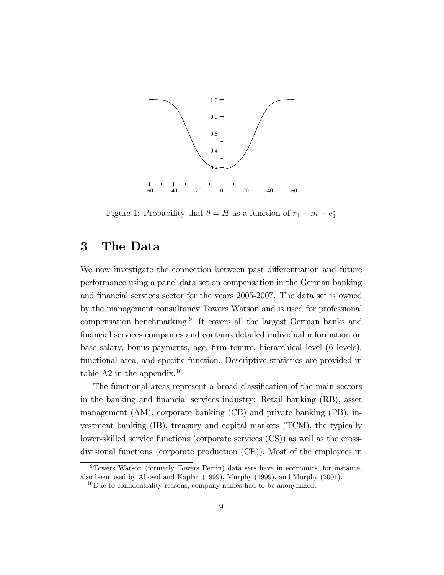

Figure 1: Probability that  $\theta = H$  as a function of  $r_1 - m - e_1^*$ 

## 3 The Data

We now investigate the connection between past differentiation and future performance using a panel data set on compensation in the German banking and financial services sector for the years 2005-2007. The data set is owned by the management consultancy Towers Watson and is used for professional compensation benchmarking.<sup>9</sup> It covers all the largest German banks and Önancial services companies and contains detailed individual information on base salary, bonus payments, age, Örm tenure, hierarchical level (6 levels), functional area, and specific function. Descriptive statistics are provided in table A2 in the appendix.<sup>10</sup>

The functional areas represent a broad classification of the main sectors in the banking and financial services industry: Retail banking (RB), asset management (AM), corporate banking (CB) and private banking (PB), investment banking (IB), treasury and capital markets (TCM), the typically lower-skilled service functions (corporate services (CS)) as well as the crossdivisional functions (corporate production (CP)). Most of the employees in

<sup>9</sup>Towers Watson (formerly Towers Perrin) data sets have in economics, for instance, also been used by Abowd and Kaplan (1999), Murphy (1999), and Murphy (2001).

 $10$  Due to confidentiality reasons, company names had to be anonymized.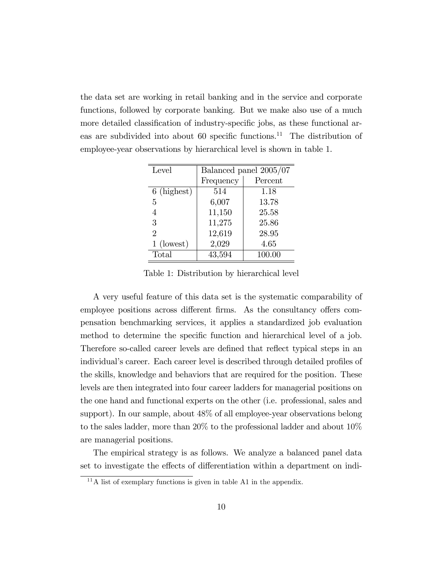the data set are working in retail banking and in the service and corporate functions, followed by corporate banking. But we make also use of a much more detailed classification of industry-specific jobs, as these functional areas are subdivided into about 60 specific functions.<sup>11</sup> The distribution of employee-year observations by hierarchical level is shown in table 1.

| Level          | Balanced panel 2005/07 |         |  |
|----------------|------------------------|---------|--|
|                | Frequency              | Percent |  |
| 6 (highest)    | 514                    | 1.18    |  |
| 5              | 6,007                  | 13.78   |  |
| 4              | 11,150                 | 25.58   |  |
| 3              | 11,275                 | 25.86   |  |
| $\overline{2}$ | 12,619                 | 28.95   |  |
| $1$ (lowest)   | 2,029                  | 4.65    |  |
| <b>Total</b>   | 43,594                 | 100.00  |  |

Table 1: Distribution by hierarchical level

A very useful feature of this data set is the systematic comparability of employee positions across different firms. As the consultancy offers compensation benchmarking services, it applies a standardized job evaluation method to determine the specific function and hierarchical level of a job. Therefore so-called career levels are defined that reflect typical steps in an individual's career. Each career level is described through detailed profiles of the skills, knowledge and behaviors that are required for the position. These levels are then integrated into four career ladders for managerial positions on the one hand and functional experts on the other (i.e. professional, sales and support). In our sample, about 48% of all employee-year observations belong to the sales ladder, more than 20% to the professional ladder and about 10% are managerial positions.

The empirical strategy is as follows. We analyze a balanced panel data set to investigate the effects of differentiation within a department on indi-

 $11$ A list of exemplary functions is given in table A1 in the appendix.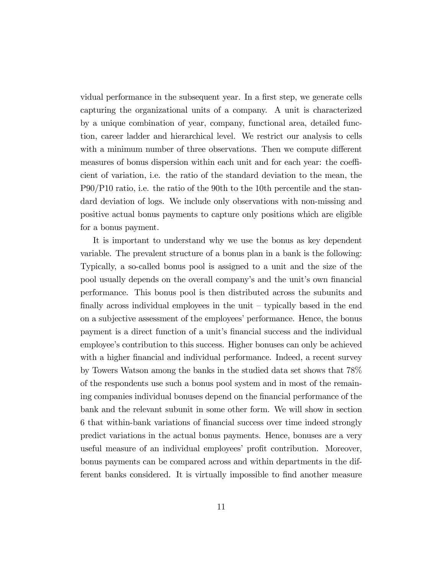vidual performance in the subsequent year. In a first step, we generate cells capturing the organizational units of a company. A unit is characterized by a unique combination of year, company, functional area, detailed function, career ladder and hierarchical level. We restrict our analysis to cells with a minimum number of three observations. Then we compute different measures of bonus dispersion within each unit and for each year: the coefficient of variation, i.e. the ratio of the standard deviation to the mean, the P90/P10 ratio, i.e. the ratio of the 90th to the 10th percentile and the standard deviation of logs. We include only observations with non-missing and positive actual bonus payments to capture only positions which are eligible for a bonus payment.

It is important to understand why we use the bonus as key dependent variable. The prevalent structure of a bonus plan in a bank is the following: Typically, a so-called bonus pool is assigned to a unit and the size of the pool usually depends on the overall company's and the unit's own financial performance. This bonus pool is then distributed across the subunits and finally across individual employees in the unit  $-$  typically based in the end on a subjective assessment of the employees' performance. Hence, the bonus payment is a direct function of a unit's financial success and the individual employee's contribution to this success. Higher bonuses can only be achieved with a higher financial and individual performance. Indeed, a recent survey by Towers Watson among the banks in the studied data set shows that 78% of the respondents use such a bonus pool system and in most of the remaining companies individual bonuses depend on the financial performance of the bank and the relevant subunit in some other form. We will show in section 6 that within-bank variations of Önancial success over time indeed strongly predict variations in the actual bonus payments. Hence, bonuses are a very useful measure of an individual employees' profit contribution. Moreover, bonus payments can be compared across and within departments in the different banks considered. It is virtually impossible to find another measure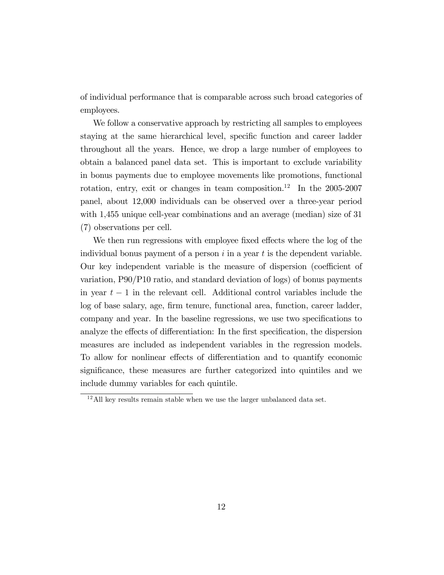of individual performance that is comparable across such broad categories of employees.

We follow a conservative approach by restricting all samples to employees staying at the same hierarchical level, specific function and career ladder throughout all the years. Hence, we drop a large number of employees to obtain a balanced panel data set. This is important to exclude variability in bonus payments due to employee movements like promotions, functional rotation, entry, exit or changes in team composition.<sup>12</sup> In the  $2005-2007$ panel, about 12,000 individuals can be observed over a three-year period with 1,455 unique cell-year combinations and an average (median) size of 31 (7) observations per cell.

We then run regressions with employee fixed effects where the log of the individual bonus payment of a person  $i$  in a year  $t$  is the dependent variable. Our key independent variable is the measure of dispersion (coefficient of variation, P90/P10 ratio, and standard deviation of logs) of bonus payments in year  $t-1$  in the relevant cell. Additional control variables include the log of base salary, age, firm tenure, functional area, function, career ladder, company and year. In the baseline regressions, we use two specifications to analyze the effects of differentiation: In the first specification, the dispersion measures are included as independent variables in the regression models. To allow for nonlinear effects of differentiation and to quantify economic significance, these measures are further categorized into quintiles and we include dummy variables for each quintile.

 $12$ All key results remain stable when we use the larger unbalanced data set.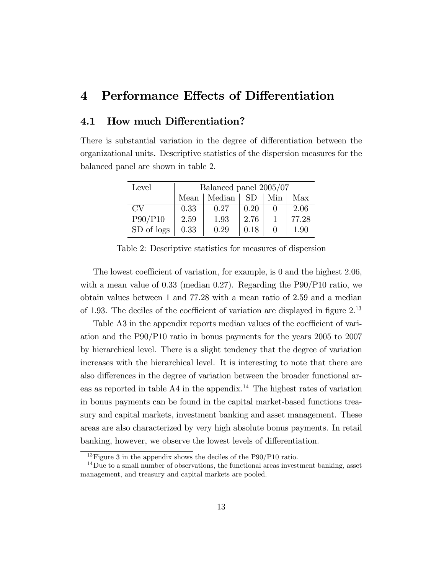## 4 Performance Effects of Differentiation

#### 4.1 How much Differentiation?

There is substantial variation in the degree of differentiation between the organizational units. Descriptive statistics of the dispersion measures for the balanced panel are shown in table 2.

| Level      |      | Balanced panel 2005/07 |           |     |       |  |  |
|------------|------|------------------------|-----------|-----|-------|--|--|
|            | Mean | Median                 | <b>SD</b> | Min | Max   |  |  |
| CV         | 0.33 | 0.27                   | 0.20      |     | 2.06  |  |  |
| P90/P10    | 2.59 | 1.93                   | 2.76      |     | 77.28 |  |  |
| SD of logs | 0.33 | 0.29                   | 0.18      |     | 1.90  |  |  |

Table 2: Descriptive statistics for measures of dispersion

The lowest coefficient of variation, for example, is 0 and the highest  $2.06$ , with a mean value of 0.33 (median 0.27). Regarding the P90/P10 ratio, we obtain values between 1 and 77.28 with a mean ratio of 2.59 and a median of 1.93. The deciles of the coefficient of variation are displayed in figure  $2^{13}$ 

Table A3 in the appendix reports median values of the coefficient of variation and the P90/P10 ratio in bonus payments for the years 2005 to 2007 by hierarchical level. There is a slight tendency that the degree of variation increases with the hierarchical level. It is interesting to note that there are also differences in the degree of variation between the broader functional areas as reported in table  $A4$  in the appendix.<sup>14</sup> The highest rates of variation in bonus payments can be found in the capital market-based functions treasury and capital markets, investment banking and asset management. These areas are also characterized by very high absolute bonus payments. In retail banking, however, we observe the lowest levels of differentiation.

<sup>&</sup>lt;sup>13</sup>Figure 3 in the appendix shows the deciles of the P90/P10 ratio.

 $14$ Due to a small number of observations, the functional areas investment banking, asset management, and treasury and capital markets are pooled.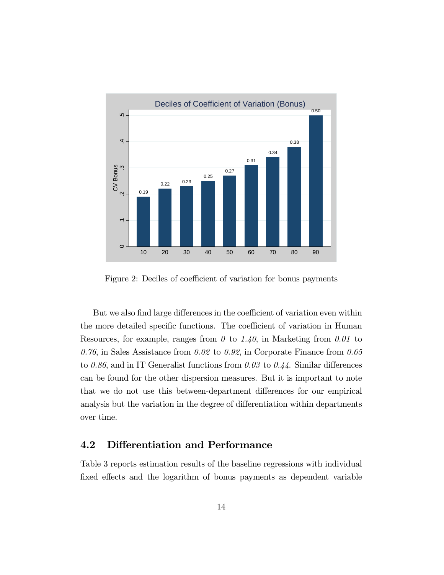

Figure 2: Deciles of coefficient of variation for bonus payments

But we also find large differences in the coefficient of variation even within the more detailed specific functions. The coefficient of variation in Human Resources, for example, ranges from  $\theta$  to 1.40, in Marketing from 0.01 to 0.76, in Sales Assistance from 0.02 to 0.92, in Corporate Finance from 0.65 to 0.86, and in IT Generalist functions from 0.03 to 0.44. Similar differences can be found for the other dispersion measures. But it is important to note that we do not use this between-department differences for our empirical analysis but the variation in the degree of differentiation within departments over time.

#### 4.2 Differentiation and Performance

Table 3 reports estimation results of the baseline regressions with individual fixed effects and the logarithm of bonus payments as dependent variable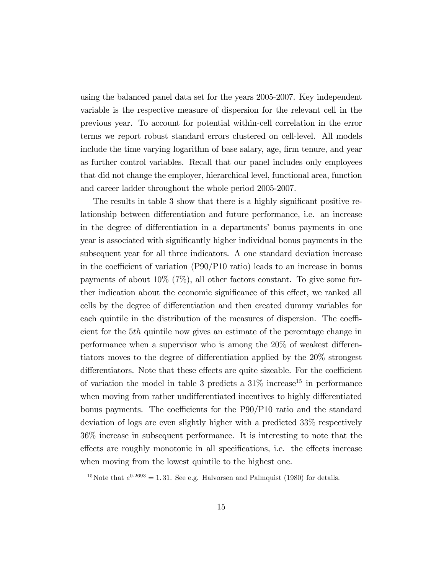using the balanced panel data set for the years 2005-2007. Key independent variable is the respective measure of dispersion for the relevant cell in the previous year. To account for potential within-cell correlation in the error terms we report robust standard errors clustered on cell-level. All models include the time varying logarithm of base salary, age, firm tenure, and year as further control variables. Recall that our panel includes only employees that did not change the employer, hierarchical level, functional area, function and career ladder throughout the whole period 2005-2007.

The results in table 3 show that there is a highly significant positive relationship between differentiation and future performance, i.e. an increase in the degree of differentiation in a departments' bonus payments in one year is associated with signiÖcantly higher individual bonus payments in the subsequent year for all three indicators. A one standard deviation increase in the coefficient of variation  $(P90/P10 \text{ ratio})$  leads to an increase in bonus payments of about 10% (7%), all other factors constant. To give some further indication about the economic significance of this effect, we ranked all cells by the degree of differentiation and then created dummy variables for each quintile in the distribution of the measures of dispersion. The coefficient for the 5th quintile now gives an estimate of the percentage change in performance when a supervisor who is among the  $20\%$  of weakest differentiators moves to the degree of differentiation applied by the 20% strongest differentiators. Note that these effects are quite sizeable. For the coefficient of variation the model in table 3 predicts a  $31\%$  increase<sup>15</sup> in performance when moving from rather undifferentiated incentives to highly differentiated bonus payments. The coefficients for the  $P90/P10$  ratio and the standard deviation of logs are even slightly higher with a predicted 33% respectively 36% increase in subsequent performance. It is interesting to note that the effects are roughly monotonic in all specifications, i.e. the effects increase when moving from the lowest quintile to the highest one.

<sup>&</sup>lt;sup>15</sup>Note that  $e^{0.2693} = 1.31$ . See e.g. Halvorsen and Palmquist (1980) for details.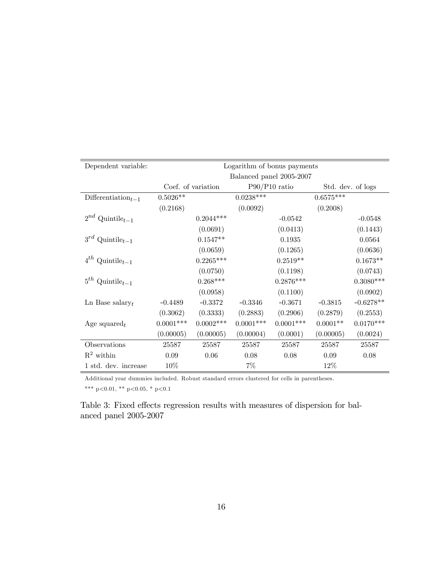| Dependent variable:                         |             |                    |             | Logarithm of bonus payments |             |                   |
|---------------------------------------------|-------------|--------------------|-------------|-----------------------------|-------------|-------------------|
|                                             |             |                    |             | Balanced panel 2005-2007    |             |                   |
|                                             |             | Coef. of variation |             | $P90/P10$ ratio             |             | Std. dev. of logs |
| Differentiation <sub><math>t-1</math></sub> | $0.5026**$  |                    | $0.0238***$ |                             | $0.6575***$ |                   |
|                                             | (0.2168)    |                    | (0.0092)    |                             | (0.2008)    |                   |
| $2^{nd}$ Quintile <sub>t-1</sub>            |             | $0.2044***$        |             | $-0.0542$                   |             | $-0.0548$         |
|                                             |             | (0.0691)           |             | (0.0413)                    |             | (0.1443)          |
| $3^{rd}$ Quintile <sub>t-1</sub>            |             | $0.1547**$         |             | 0.1935                      |             | 0.0564            |
|                                             |             | (0.0659)           |             | (0.1265)                    |             | (0.0636)          |
| $4^{th}$ Quintile <sub>t-1</sub>            |             | $0.2265***$        |             | $0.2519**$                  |             | $0.1673**$        |
|                                             |             | (0.0750)           |             | (0.1198)                    |             | (0.0743)          |
| $5^{th}$ Quintile <sub>t-1</sub>            |             | $0.268***$         |             | $0.2876***$                 |             | $0.3080***$       |
|                                             |             | (0.0958)           |             | (0.1100)                    |             | (0.0902)          |
| Ln Base salary $_t$                         | $-0.4489$   | $-0.3372$          | $-0.3346$   | $-0.3671$                   | $-0.3815$   | $-0.6278**$       |
|                                             | (0.3062)    | (0.3333)           | (0.2883)    | (0.2906)                    | (0.2879)    | (0.2553)          |
| Age squared $_t$                            | $0.0001***$ | $0.0002$ ***       | $0.0001***$ | $0.0001***$                 | $0.0001**$  | $0.0170***$       |
|                                             | (0.00005)   | (0.00005)          | (0.00004)   | (0.0001)                    | (0.00005)   | (0.0024)          |
| Observations                                | 25587       | 25587              | 25587       | 25587                       | 25587       | 25587             |
| $\mathbb{R}^2$ within                       | 0.09        | 0.06               | 0.08        | 0.08                        | 0.09        | 0.08              |
| 1 std. dev. increase                        | $10\%$      |                    | $7\%$       |                             | 12\%        |                   |

Additional year dummies included. Robust standard errors clustered for cells in parentheses. \*\*\* p<0.01, \*\* p<0.05, \* p<0.1

Table 3: Fixed effects regression results with measures of dispersion for balanced panel 2005-2007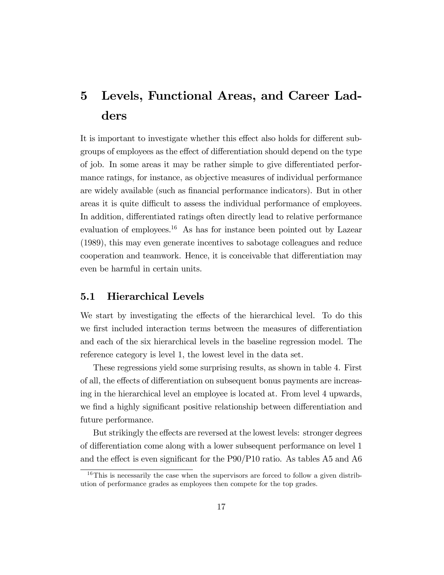## 5 Levels, Functional Areas, and Career Ladders

It is important to investigate whether this effect also holds for different subgroups of employees as the effect of differentiation should depend on the type of job. In some areas it may be rather simple to give differentiated performance ratings, for instance, as objective measures of individual performance are widely available (such as Önancial performance indicators). But in other areas it is quite difficult to assess the individual performance of employees. In addition, differentiated ratings often directly lead to relative performance evaluation of employees.<sup>16</sup> As has for instance been pointed out by Lazear (1989), this may even generate incentives to sabotage colleagues and reduce cooperation and teamwork. Hence, it is conceivable that differentiation may even be harmful in certain units.

#### 5.1 Hierarchical Levels

We start by investigating the effects of the hierarchical level. To do this we first included interaction terms between the measures of differentiation and each of the six hierarchical levels in the baseline regression model. The reference category is level 1, the lowest level in the data set.

These regressions yield some surprising results, as shown in table 4. First of all, the effects of differentiation on subsequent bonus payments are increasing in the hierarchical level an employee is located at. From level 4 upwards, we find a highly significant positive relationship between differentiation and future performance.

But strikingly the effects are reversed at the lowest levels: stronger degrees of differentiation come along with a lower subsequent performance on level 1 and the effect is even significant for the  $P90/P10$  ratio. As tables A5 and A6

 $16$ This is necessarily the case when the supervisors are forced to follow a given distribution of performance grades as employees then compete for the top grades.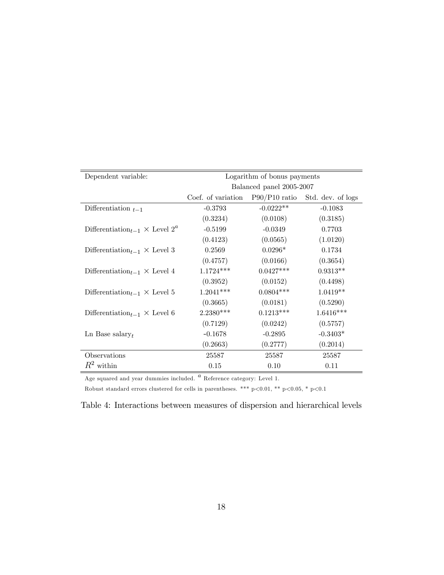| Dependent variable:                                                 | Logarithm of bonus payments                        |                          |             |  |  |
|---------------------------------------------------------------------|----------------------------------------------------|--------------------------|-------------|--|--|
|                                                                     |                                                    | Balanced panel 2005-2007 |             |  |  |
|                                                                     | Coef. of variation P90/P10 ratio Std. dev. of logs |                          |             |  |  |
| Differentiation $_{t-1}$                                            | $-0.3793$                                          | $-0.0222**$              | $-0.1083$   |  |  |
|                                                                     | (0.3234)                                           | (0.0108)                 | (0.3185)    |  |  |
| Differentiation <sub>t-1</sub> $\times$ Level 2 <sup><i>a</i></sup> | $-0.5199$                                          | $-0.0349$                | 0.7703      |  |  |
|                                                                     | (0.4123)                                           | (0.0565)                 | (1.0120)    |  |  |
| Differentiation <sub>t-1</sub> $\times$ Level 3                     | 0.2569                                             | $0.0296*$                | 0.1734      |  |  |
|                                                                     | (0.4757)                                           | (0.0166)                 | (0.3654)    |  |  |
| Differentiation <sub>t-1</sub> $\times$ Level 4                     | $1.1724***$                                        | $0.0427***$              | $0.9313**$  |  |  |
|                                                                     | (0.3952)                                           | (0.0152)                 | (0.4498)    |  |  |
| Differentiation <sub>t-1</sub> $\times$ Level 5                     | $1.2041***$                                        | $0.0804***$              | $1.0419**$  |  |  |
|                                                                     | (0.3665)                                           | (0.0181)                 | (0.5290)    |  |  |
| Differentiation <sub>t-1</sub> $\times$ Level 6                     | $2.2380***$                                        | $0.1213***$              | $1.6416***$ |  |  |
|                                                                     | (0.7129)                                           | (0.0242)                 | (0.5757)    |  |  |
| $\text{Ln}$ Base salary <sub>t</sub>                                | $-0.1678$                                          | $-0.2895$                | $-0.3403*$  |  |  |
|                                                                     | (0.2663)                                           | (0.2777)                 | (0.2014)    |  |  |
| Observations                                                        | 25587                                              | 25587                    | 25587       |  |  |
| $R^2$ within                                                        | 0.15                                               | 0.10                     | 0.11        |  |  |

Age squared and year dummies included.  $\alpha$  Reference category: Level 1.

Robust standard errors clustered for cells in parentheses. \*\*\* p<0.01, \*\* p<0.05, \* p<0.1

Table 4: Interactions between measures of dispersion and hierarchical levels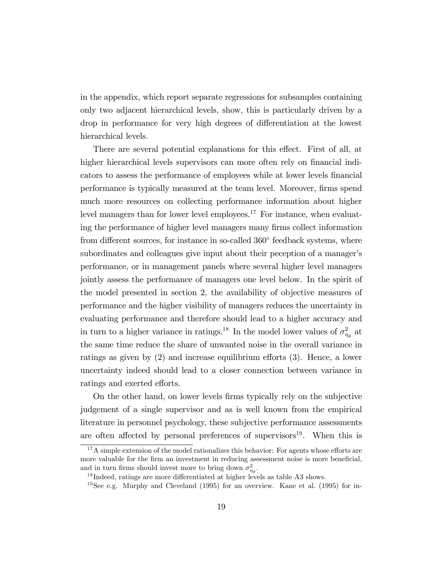in the appendix, which report separate regressions for subsamples containing only two adjacent hierarchical levels, show, this is particularly driven by a drop in performance for very high degrees of differentiation at the lowest hierarchical levels.

There are several potential explanations for this effect. First of all, at higher hierarchical levels supervisors can more often rely on financial indicators to assess the performance of employees while at lower levels financial performance is typically measured at the team level. Moreover, firms spend much more resources on collecting performance information about higher level managers than for lower level employees.<sup>17</sup> For instance, when evaluating the performance of higher level managers many firms collect information from different sources, for instance in so-called  $360^{\circ}$  feedback systems, where subordinates and colleagues give input about their peception of a manager's performance, or in management panels where several higher level managers jointly assess the performance of managers one level below. In the spirit of the model presented in section 2, the availability of objective measures of performance and the higher visibility of managers reduces the uncertainty in evaluating performance and therefore should lead to a higher accuracy and in turn to a higher variance in ratings.<sup>18</sup> In the model lower values of  $\sigma_{\eta_{\theta}}^2$  at the same time reduce the share of unwanted noise in the overall variance in ratings as given by  $(2)$  and increase equilibrium efforts  $(3)$ . Hence, a lower uncertainty indeed should lead to a closer connection between variance in ratings and exerted efforts.

On the other hand, on lower levels Örms typically rely on the subjective judgement of a single supervisor and as is well known from the empirical literature in personnel psychology, these subjective performance assessments are often affected by personal preferences of supervisors<sup>19</sup>. When this is

 $17A$  simple extension of the model rationalizes this behavior: For agents whose efforts are more valuable for the firm an investment in reducing assessment noise is more beneficial, and in turn firms should invest more to bring down  $\sigma_{\eta_\theta}^2$ .

 $18$ Indeed, ratings are more differentiated at higher levels as table A3 shows.

<sup>&</sup>lt;sup>19</sup>See e.g. Murphy and Cleveland  $(1995)$  for an overview. Kane et al.  $(1995)$  for in-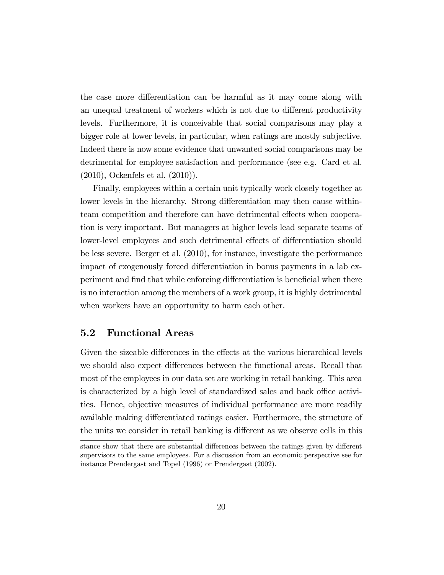the case more differentiation can be harmful as it may come along with an unequal treatment of workers which is not due to different productivity levels. Furthermore, it is conceivable that social comparisons may play a bigger role at lower levels, in particular, when ratings are mostly subjective. Indeed there is now some evidence that unwanted social comparisons may be detrimental for employee satisfaction and performance (see e.g. Card et al. (2010), Ockenfels et al. (2010)).

Finally, employees within a certain unit typically work closely together at lower levels in the hierarchy. Strong differentiation may then cause withinteam competition and therefore can have detrimental effects when cooperation is very important. But managers at higher levels lead separate teams of lower-level employees and such detrimental effects of differentiation should be less severe. Berger et al. (2010), for instance, investigate the performance impact of exogenously forced differentiation in bonus payments in a lab experiment and find that while enforcing differentiation is beneficial when there is no interaction among the members of a work group, it is highly detrimental when workers have an opportunity to harm each other.

#### 5.2 Functional Areas

Given the sizeable differences in the effects at the various hierarchical levels we should also expect differences between the functional areas. Recall that most of the employees in our data set are working in retail banking. This area is characterized by a high level of standardized sales and back office activities. Hence, objective measures of individual performance are more readily available making differentiated ratings easier. Furthermore, the structure of the units we consider in retail banking is different as we observe cells in this

stance show that there are substantial differences between the ratings given by different supervisors to the same employees. For a discussion from an economic perspective see for instance Prendergast and Topel (1996) or Prendergast (2002).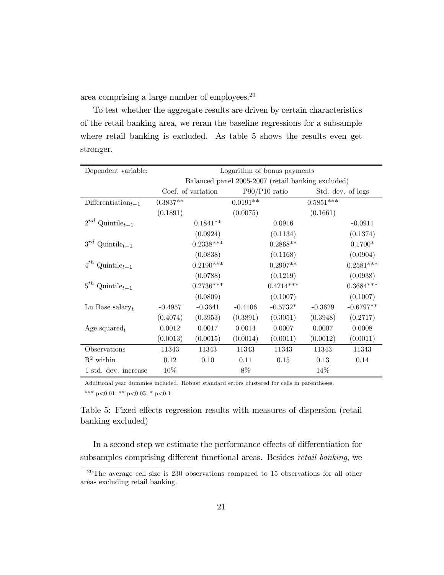area comprising a large number of employees.<sup>20</sup>

To test whether the aggregate results are driven by certain characteristics of the retail banking area, we reran the baseline regressions for a subsample where retail banking is excluded. As table 5 shows the results even get stronger.

| Dependent variable:                         |            |                    |            | Logarithm of bonus payments                        |             |                   |
|---------------------------------------------|------------|--------------------|------------|----------------------------------------------------|-------------|-------------------|
|                                             |            |                    |            | Balanced panel 2005-2007 (retail banking excluded) |             |                   |
|                                             |            | Coef. of variation |            | $P90/P10$ ratio                                    |             | Std. dev. of logs |
| Differentiation <sub><math>t-1</math></sub> | $0.3837**$ |                    | $0.0191**$ |                                                    | $0.5851***$ |                   |
|                                             | (0.1891)   |                    | (0.0075)   |                                                    | (0.1661)    |                   |
| $2^{nd}$ Quintile <sub>t-1</sub>            |            | $0.1841**$         |            | 0.0916                                             |             | $-0.0911$         |
|                                             |            | (0.0924)           |            | (0.1134)                                           |             | (0.1374)          |
| $3^{rd}$ Quintile <sub>t-1</sub>            |            | $0.2338***$        |            | $0.2868**$                                         |             | $0.1700*$         |
|                                             |            | (0.0838)           |            | (0.1168)                                           |             | (0.0904)          |
| $4^{th}$ Quintile <sub>t-1</sub>            |            | $0.2190***$        |            | $0.2997**$                                         |             | $0.2581***$       |
|                                             |            | (0.0788)           |            | (0.1219)                                           |             | (0.0938)          |
| $5^{th}$ Quintile <sub>t-1</sub>            |            | $0.2736***$        |            | $0.4214***$                                        |             | $0.3684***$       |
|                                             |            | (0.0809)           |            | (0.1007)                                           |             | (0.1007)          |
| Ln Base salary <sub>t</sub>                 | $-0.4957$  | $-0.3641$          | $-0.4106$  | $-0.5732*$                                         | $-0.3629$   | $-0.6797**$       |
|                                             | (0.4074)   | (0.3953)           | (0.3891)   | (0.3051)                                           | (0.3948)    | (0.2717)          |
| Age squared $_t$                            | 0.0012     | 0.0017             | 0.0014     | 0.0007                                             | 0.0007      | 0.0008            |
|                                             | (0.0013)   | (0.0015)           | (0.0014)   | (0.0011)                                           | (0.0012)    | (0.0011)          |
| Observations                                | 11343      | 11343              | 11343      | 11343                                              | 11343       | 11343             |
| $\mathbb{R}^2$ within                       | 0.12       | 0.10               | 0.11       | 0.15                                               | 0.13        | 0.14              |
| 1 std. dev. increase                        | 10%        |                    | 8%         |                                                    | 14\%        |                   |

Additional year dummies included. Robust standard errors clustered for cells in parentheses.

\*\*\* p<0.01, \*\* p<0.05, \* p<0.1

Table 5: Fixed effects regression results with measures of dispersion (retail banking excluded)

In a second step we estimate the performance effects of differentiation for subsamples comprising different functional areas. Besides retail banking, we

 $20$ The average cell size is 230 observations compared to 15 observations for all other areas excluding retail banking.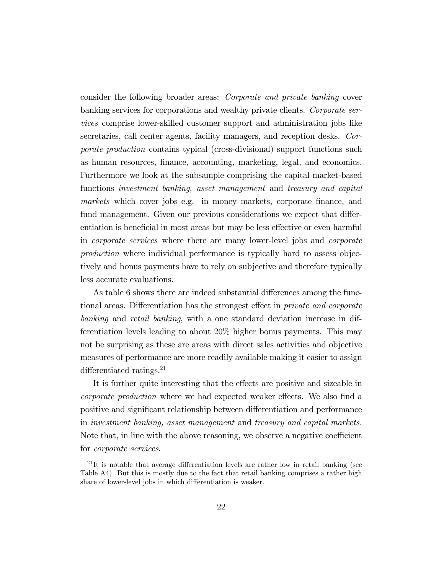consider the following broader areas: Corporate and private banking cover banking services for corporations and wealthy private clients. Corporate services comprise lower-skilled customer support and administration jobs like secretaries, call center agents, facility managers, and reception desks. Corporate production contains typical (cross-divisional) support functions such as human resources, finance, accounting, marketing, legal, and economics. Furthermore we look at the subsample comprising the capital market-based functions investment banking, asset management and treasury and capital markets which cover jobs e.g. in money markets, corporate finance, and fund management. Given our previous considerations we expect that differentiation is beneficial in most areas but may be less effective or even harmful in corporate services where there are many lower-level jobs and corporate production where individual performance is typically hard to assess objectively and bonus payments have to rely on subjective and therefore typically less accurate evaluations.

As table 6 shows there are indeed substantial differences among the functional areas. Differentiation has the strongest effect in *private and corporate* banking and retail banking, with a one standard deviation increase in differentiation levels leading to about 20% higher bonus payments. This may not be surprising as these are areas with direct sales activities and objective measures of performance are more readily available making it easier to assign differentiated ratings. $21$ 

It is further quite interesting that the effects are positive and sizeable in corporate production where we had expected weaker effects. We also find a positive and significant relationship between differentiation and performance in investment banking, asset management and treasury and capital markets. Note that, in line with the above reasoning, we observe a negative coefficient for corporate services.

 $^{21}$ It is notable that average differentiation levels are rather low in retail banking (see Table A4). But this is mostly due to the fact that retail banking comprises a rather high share of lower-level jobs in which differentiation is weaker.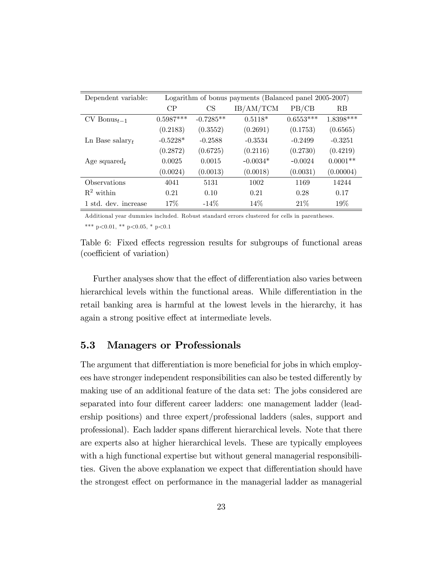| Dependent variable:         |             |             | Logarithm of bonus payments (Balanced panel 2005-2007) |             |            |
|-----------------------------|-------------|-------------|--------------------------------------------------------|-------------|------------|
|                             | CP          | CS          | IB/AM/TCM                                              | PB/CB       | <b>RB</b>  |
| $CV$ Bonus $_{t-1}$         | $0.5987***$ | $-0.7285**$ | $0.5118*$                                              | $0.6553***$ | 1.8398***  |
|                             | (0.2183)    | (0.3552)    | (0.2691)                                               | (0.1753)    | (0.6565)   |
| Ln Base salary <sub>t</sub> | $-0.5228*$  | $-0.2588$   | $-0.3534$                                              | $-0.2499$   | $-0.3251$  |
|                             | (0.2872)    | (0.6725)    | (0.2116)                                               | (0.2730)    | (0.4219)   |
| Age squared $_t$            | 0.0025      | 0.0015      | $-0.0034*$                                             | $-0.0024$   | $0.0001**$ |
|                             | (0.0024)    | (0.0013)    | (0.0018)                                               | (0.0031)    | (0.00004)  |
| Observations                | 4041        | 5131        | 1002                                                   | 1169        | 14244      |
| $R^2$ within                | 0.21        | 0.10        | 0.21                                                   | 0.28        | 0.17       |
| 1 std. dev. increase        | $17\%$      | $-14\%$     | $14\%$                                                 | 21%         | 19%        |

Additional year dummies included. Robust standard errors clustered for cells in parentheses.

\*\*\* p<0.01, \*\* p<0.05, \* p<0.1

Table 6: Fixed effects regression results for subgroups of functional areas (coefficient of variation)

Further analyses show that the effect of differentiation also varies between hierarchical levels within the functional areas. While differentiation in the retail banking area is harmful at the lowest levels in the hierarchy, it has again a strong positive effect at intermediate levels.

#### 5.3 Managers or Professionals

The argument that differentiation is more beneficial for jobs in which employees have stronger independent responsibilities can also be tested differently by making use of an additional feature of the data set: The jobs considered are separated into four different career ladders: one management ladder (leadership positions) and three expert/professional ladders (sales, support and professional). Each ladder spans different hierarchical levels. Note that there are experts also at higher hierarchical levels. These are typically employees with a high functional expertise but without general managerial responsibilities. Given the above explanation we expect that differentiation should have the strongest effect on performance in the managerial ladder as managerial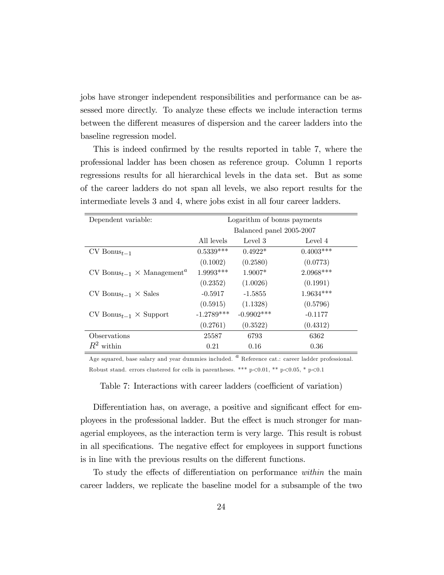jobs have stronger independent responsibilities and performance can be assessed more directly. To analyze these effects we include interaction terms between the different measures of dispersion and the career ladders into the baseline regression model.

This is indeed confirmed by the results reported in table 7, where the professional ladder has been chosen as reference group. Column 1 reports regressions results for all hierarchical levels in the data set. But as some of the career ladders do not span all levels, we also report results for the intermediate levels 3 and 4, where jobs exist in all four career ladders.

| Dependent variable:                                        | Logarithm of bonus payments |                          |             |  |  |
|------------------------------------------------------------|-----------------------------|--------------------------|-------------|--|--|
|                                                            |                             | Balanced panel 2005-2007 |             |  |  |
|                                                            | All levels                  | Level 3                  | Level 4     |  |  |
| $CV$ Bonus <sub>t-1</sub>                                  | $0.5339***$                 | $0.4922*$                | $0.4003***$ |  |  |
|                                                            | (0.1002)                    | (0.2580)                 | (0.0773)    |  |  |
| $CV$ Bonus <sub>t-1</sub> $\times$ Management <sup>a</sup> | $1.9993***$                 | $1.9007*$                | $2.0968***$ |  |  |
|                                                            | (0.2352)                    | (1.0026)                 | (0.1991)    |  |  |
| $CV$ Bonus <sub>t-1</sub> $\times$ Sales                   | $-0.5917$                   | $-1.5855$                | $1.9634***$ |  |  |
|                                                            | (0.5915)                    | (1.1328)                 | (0.5796)    |  |  |
| $CV$ Bonus <sub>t-1</sub> $\times$ Support                 | $-1.2789***$                | $-0.9902$ ***            | $-0.1177$   |  |  |
|                                                            | (0.2761)                    | (0.3522)                 | (0.4312)    |  |  |
| <i><b>Observations</b></i>                                 | 25587                       | 6793                     | 6362        |  |  |
| $R^2$ within                                               | 0.21                        | 0.16                     | 0.36        |  |  |

Age squared, base salary and year dummies included.  $a$  Reference cat.: career ladder professional. Robust stand. errors clustered for cells in parentheses. \*\*\*  $p<0.01$ , \*\*  $p<0.05$ , \*  $p<0.1$ 

Table 7: Interactions with career ladders (coefficient of variation)

Differentiation has, on average, a positive and significant effect for employees in the professional ladder. But the effect is much stronger for managerial employees, as the interaction term is very large. This result is robust in all specifications. The negative effect for employees in support functions is in line with the previous results on the different functions.

To study the effects of differentiation on performance within the main career ladders, we replicate the baseline model for a subsample of the two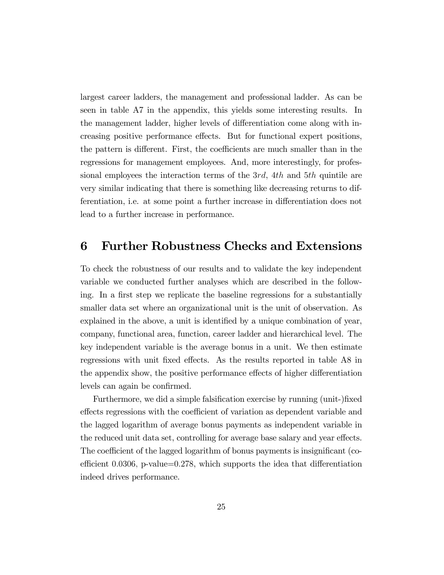largest career ladders, the management and professional ladder. As can be seen in table A7 in the appendix, this yields some interesting results. In the management ladder, higher levels of differentiation come along with increasing positive performance effects. But for functional expert positions, the pattern is different. First, the coefficients are much smaller than in the regressions for management employees. And, more interestingly, for professional employees the interaction terms of the 3rd, 4th and 5th quintile are very similar indicating that there is something like decreasing returns to differentiation, i.e. at some point a further increase in differentiation does not lead to a further increase in performance.

#### 6 Further Robustness Checks and Extensions

To check the robustness of our results and to validate the key independent variable we conducted further analyses which are described in the following. In a first step we replicate the baseline regressions for a substantially smaller data set where an organizational unit is the unit of observation. As explained in the above, a unit is identified by a unique combination of year, company, functional area, function, career ladder and hierarchical level. The key independent variable is the average bonus in a unit. We then estimate regressions with unit fixed effects. As the results reported in table A8 in the appendix show, the positive performance effects of higher differentiation levels can again be confirmed.

Furthermore, we did a simple falsification exercise by running (unit-)fixed effects regressions with the coefficient of variation as dependent variable and the lagged logarithm of average bonus payments as independent variable in the reduced unit data set, controlling for average base salary and year effects. The coefficient of the lagged logarithm of bonus payments is insignificant (coefficient 0.0306, p-value=0.278, which supports the idea that differentiation indeed drives performance.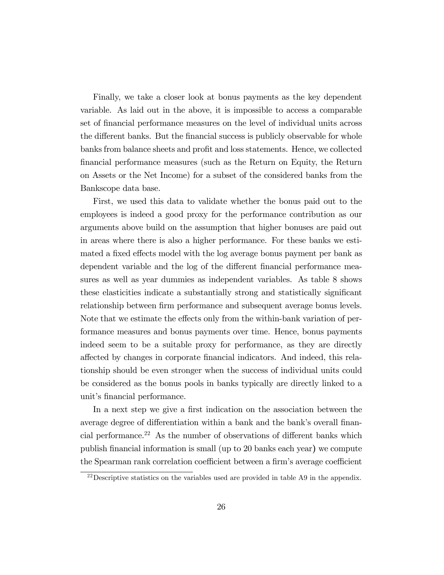Finally, we take a closer look at bonus payments as the key dependent variable. As laid out in the above, it is impossible to access a comparable set of financial performance measures on the level of individual units across the different banks. But the financial success is publicly observable for whole banks from balance sheets and profit and loss statements. Hence, we collected Önancial performance measures (such as the Return on Equity, the Return on Assets or the Net Income) for a subset of the considered banks from the Bankscope data base.

First, we used this data to validate whether the bonus paid out to the employees is indeed a good proxy for the performance contribution as our arguments above build on the assumption that higher bonuses are paid out in areas where there is also a higher performance. For these banks we estimated a fixed effects model with the log average bonus payment per bank as dependent variable and the log of the different financial performance measures as well as year dummies as independent variables. As table 8 shows these elasticities indicate a substantially strong and statistically significant relationship between firm performance and subsequent average bonus levels. Note that we estimate the effects only from the within-bank variation of performance measures and bonus payments over time. Hence, bonus payments indeed seem to be a suitable proxy for performance, as they are directly a§ected by changes in corporate Önancial indicators. And indeed, this relationship should be even stronger when the success of individual units could be considered as the bonus pools in banks typically are directly linked to a unit's financial performance.

In a next step we give a first indication on the association between the average degree of differentiation within a bank and the bank's overall financial performance.<sup>22</sup> As the number of observations of different banks which publish Önancial information is small (up to 20 banks each year) we compute the Spearman rank correlation coefficient between a firm's average coefficient

<sup>&</sup>lt;sup>22</sup>Descriptive statistics on the variables used are provided in table A9 in the appendix.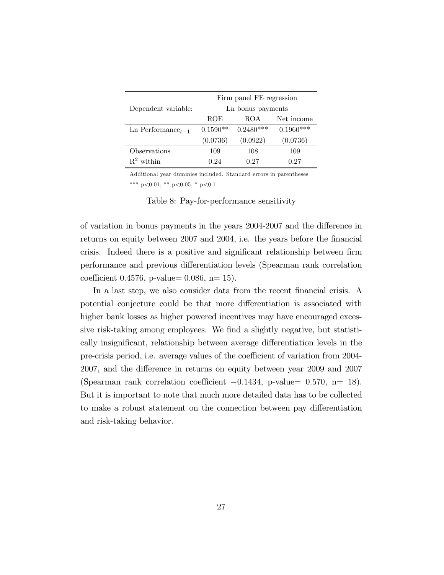|                         |            | Firm panel FE regression |             |
|-------------------------|------------|--------------------------|-------------|
| Dependent variable:     |            | Ln bonus payments        |             |
|                         | ROE        | <b>ROA</b>               | Net income  |
| Ln Performance $t_{-1}$ | $0.1590**$ | $0.2480***$              | $0.1960***$ |
|                         | (0.0736)   | (0.0922)                 | (0.0736)    |
| Observations            | 109        | 108                      | 109         |
| $\mathbb{R}^2$ within   | 0.24       | 0.27                     | 0.27        |

Additional year dummies included. Standard errors in parentheses \*\*\* p<0.01, \*\* p<0.05, \* p<0.1

Table 8: Pay-for-performance sensitivity

of variation in bonus payments in the years 2004-2007 and the difference in returns on equity between 2007 and 2004, i.e. the years before the financial crisis. Indeed there is a positive and significant relationship between firm performance and previous differentiation levels (Spearman rank correlation coefficient 0.4576, p-value=  $0.086$ , n= 15).

In a last step, we also consider data from the recent financial crisis. A potential conjecture could be that more differentiation is associated with higher bank losses as higher powered incentives may have encouraged excessive risk-taking among employees. We find a slightly negative, but statistically insignificant, relationship between average differentiation levels in the pre-crisis period, i.e. average values of the coefficient of variation from 2004-2007, and the difference in returns on equity between year 2009 and 2007 (Spearman rank correlation coefficient  $-0.1434$ , p-value= 0.570, n= 18). But it is important to note that much more detailed data has to be collected to make a robust statement on the connection between pay differentiation and risk-taking behavior.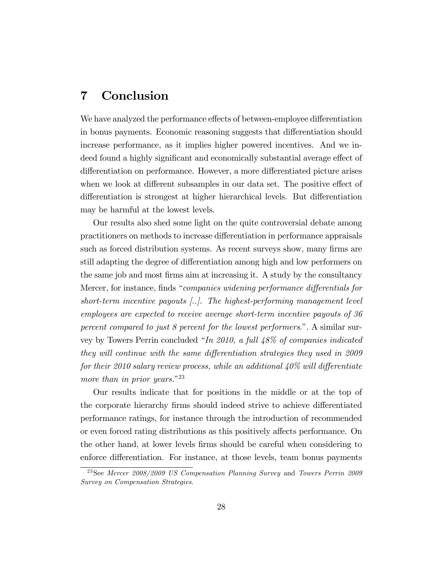## 7 Conclusion

We have analyzed the performance effects of between-employee differentiation in bonus payments. Economic reasoning suggests that differentiation should increase performance, as it implies higher powered incentives. And we indeed found a highly significant and economically substantial average effect of differentiation on performance. However, a more differentiated picture arises when we look at different subsamples in our data set. The positive effect of differentiation is strongest at higher hierarchical levels. But differentiation may be harmful at the lowest levels.

Our results also shed some light on the quite controversial debate among practitioners on methods to increase differentiation in performance appraisals such as forced distribution systems. As recent surveys show, many firms are still adapting the degree of differentiation among high and low performers on the same job and most firms aim at increasing it. A study by the consultancy Mercer, for instance, finds "companies widening performance differentials for short-term incentive payouts [..]. The highest-performing management level employees are expected to receive average short-term incentive payouts of 36 percent compared to just 8 percent for the lowest performers.". A similar survey by Towers Perrin concluded "In 2010, a full  $48\%$  of companies indicated they will continue with the same differentiation strategies they used in  $2009$ for their 2010 salary review process, while an additional  $40\%$  will differentiate more than in prior years." $^{23}$ 

Our results indicate that for positions in the middle or at the top of the corporate hierarchy firms should indeed strive to achieve differentiated performance ratings, for instance through the introduction of recommended or even forced rating distributions as this positively affects performance. On the other hand, at lower levels Örms should be careful when considering to enforce differentiation. For instance, at those levels, team bonus payments

<sup>&</sup>lt;sup>23</sup>See Mercer 2008/2009 US Compensation Planning Survey and Towers Perrin 2009 Survey on Compensation Strategies.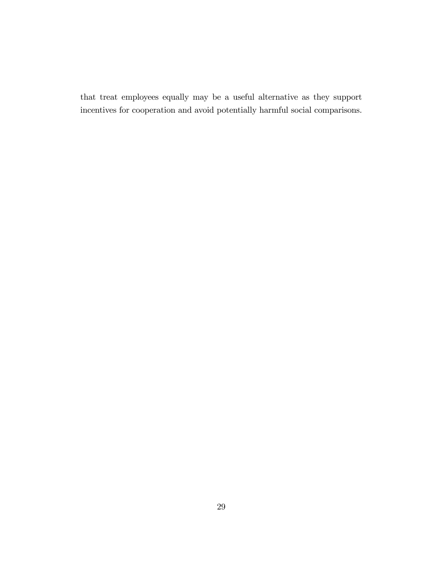that treat employees equally may be a useful alternative as they support incentives for cooperation and avoid potentially harmful social comparisons.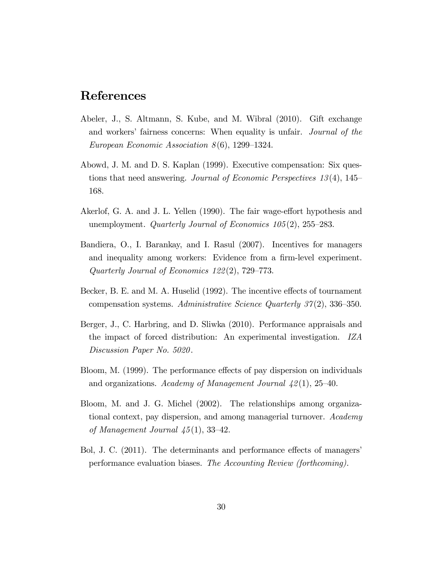### References

- Abeler, J., S. Altmann, S. Kube, and M. Wibral (2010). Gift exchange and workers' fairness concerns: When equality is unfair. Journal of the European Economic Association  $8(6)$ , 1299–1324.
- Abowd, J. M. and D. S. Kaplan (1999). Executive compensation: Six questions that need answering. Journal of Economic Perspectives  $13(4)$ , 145 168.
- Akerlof, G. A. and J. L. Yellen (1990). The fair wage-effort hypothesis and unemployment. Quarterly Journal of Economics  $105(2)$ ,  $255-283$ .
- Bandiera, O., I. Barankay, and I. Rasul (2007). Incentives for managers and inequality among workers: Evidence from a firm-level experiment. Quarterly Journal of Economics  $122(2)$ , 729–773.
- Becker, B. E. and M. A. Huselid (1992). The incentive effects of tournament compensation systems. Administrative Science Quarterly  $37(2)$ , 336–350.
- Berger, J., C. Harbring, and D. Sliwka (2010). Performance appraisals and the impact of forced distribution: An experimental investigation. IZA Discussion Paper No. 5020.
- Bloom, M. (1999). The performance effects of pay dispersion on individuals and organizations. Academy of Management Journal  $\frac{1}{2}(1)$ , 25–40.
- Bloom, M. and J. G. Michel (2002). The relationships among organizational context, pay dispersion, and among managerial turnover. Academy of Management Journal  $\mu$ 5(1), 33–42.
- Bol, J. C. (2011). The determinants and performance effects of managers' performance evaluation biases. The Accounting Review (forthcoming).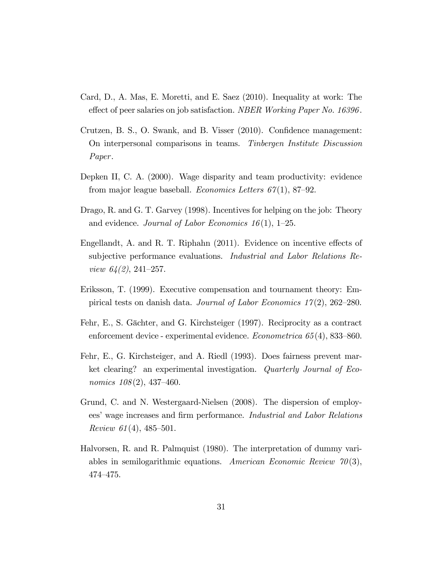- Card, D., A. Mas, E. Moretti, and E. Saez (2010). Inequality at work: The effect of peer salaries on job satisfaction. NBER Working Paper No. 16396.
- Crutzen, B. S., O. Swank, and B. Visser (2010). Confidence management: On interpersonal comparisons in teams. Tinbergen Institute Discussion Paper.
- Depken II, C. A. (2000). Wage disparity and team productivity: evidence from major league baseball. *Economics Letters*  $67(1)$ , 87–92.
- Drago, R. and G. T. Garvey (1998). Incentives for helping on the job: Theory and evidence. Journal of Labor Economics 16(1), 1-25.
- Engellandt, A. and R. T. Riphahn  $(2011)$ . Evidence on incentive effects of subjective performance evaluations. Industrial and Labor Relations Review  $64(2)$ , 241–257.
- Eriksson, T. (1999). Executive compensation and tournament theory: Empirical tests on danish data. Journal of Labor Economics  $17(2)$ , 262–280.
- Fehr, E., S. Gächter, and G. Kirchsteiger (1997). Reciprocity as a contract enforcement device - experimental evidence.  $Econometrica 65(4), 833-860.$
- Fehr, E., G. Kirchsteiger, and A. Riedl (1993). Does fairness prevent market clearing? an experimental investigation. Quarterly Journal of Economics  $108(2)$ , 437-460.
- Grund, C. and N. Westergaard-Nielsen (2008). The dispersion of employees' wage increases and firm performance. Industrial and Labor Relations Review 61(4), 485–501.
- Halvorsen, R. and R. Palmquist (1980). The interpretation of dummy variables in semilogarithmic equations. American Economic Review  $\mathcal{V}(0|3)$ , 474-475.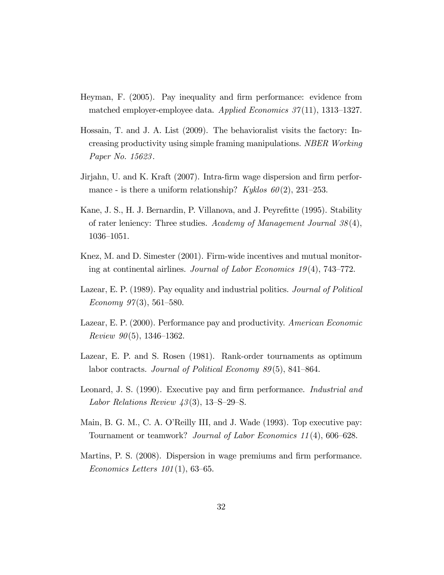- Heyman, F. (2005). Pay inequality and firm performance: evidence from matched employer-employee data. Applied Economics  $37(11)$ , 1313–1327.
- Hossain, T. and J. A. List (2009). The behavioralist visits the factory: Increasing productivity using simple framing manipulations. NBER Working Paper No. 15623.
- Jirjahn, U. and K. Kraft (2007). Intra-firm wage dispersion and firm performance - is there a uniform relationship? Kyklos  $60(2)$ , 231–253.
- Kane, J. S., H. J. Bernardin, P. Villanova, and J. Peyrefitte (1995). Stability of rater leniency: Three studies. Academy of Management Journal  $38(4)$ , 1036–1051.
- Knez, M. and D. Simester (2001). Firm-wide incentives and mutual monitoring at continental airlines. Journal of Labor Economics  $19(4)$ , 743–772.
- Lazear, E. P. (1989). Pay equality and industrial politics. Journal of Political Economy  $97(3)$ , 561–580.
- Lazear, E. P. (2000). Performance pay and productivity. American Economic Review  $90(5)$ , 1346–1362.
- Lazear, E. P. and S. Rosen (1981). Rank-order tournaments as optimum labor contracts. Journal of Political Economy  $89(5)$ , 841–864.
- Leonard, J. S. (1990). Executive pay and firm performance. *Industrial and* Labor Relations Review  $43(3)$ , 13-S-29-S.
- Main, B. G. M., C. A. O'Reilly III, and J. Wade (1993). Top executive pay: Tournament or teamwork? Journal of Labor Economics  $11(4)$ , 606-628.
- Martins, P. S. (2008). Dispersion in wage premiums and firm performance. Economics Letters  $101(1)$ , 63-65.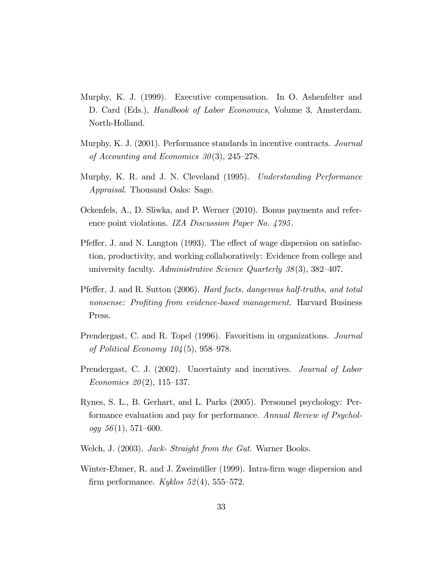- Murphy, K. J. (1999). Executive compensation. In O. Ashenfelter and D. Card (Eds.), *Handbook of Labor Economics*, Volume 3, Amsterdam. North-Holland.
- Murphy, K. J. (2001). Performance standards in incentive contracts. Journal of Accounting and Economics  $30(3)$ , 245–278.
- Murphy, K. R. and J. N. Cleveland (1995). Understanding Performance Appraisal. Thousand Oaks: Sage.
- Ockenfels, A., D. Sliwka, and P. Werner (2010). Bonus payments and reference point violations. IZA Discussion Paper No. 4795.
- Pfeffer, J. and N. Langton (1993). The effect of wage dispersion on satisfaction, productivity, and working collaboratively: Evidence from college and university faculty. Administrative Science Quarterly  $38(3)$ ,  $382-407$ .
- Pfeffer, J. and R. Sutton (2006). Hard facts, dangerous half-truths, and total nonsense: Profiting from evidence-based management. Harvard Business Press.
- Prendergast, C. and R. Topel (1996). Favoritism in organizations. Journal of Political Economy  $104(5)$ , 958–978.
- Prendergast, C. J. (2002). Uncertainty and incentives. *Journal of Labor* Economics  $20(2)$ , 115–137.
- Rynes, S. L., B. Gerhart, and L. Parks (2005). Personnel psychology: Performance evaluation and pay for performance. Annual Review of Psychology  $56(1)$ , 571–600.
- Welch, J. (2003). *Jack- Straight from the Gut.* Warner Books.
- Winter-Ebmer, R. and J. Zweimüller (1999). Intra-firm wage dispersion and firm performance. Kyklos  $52(4)$ , 555–572.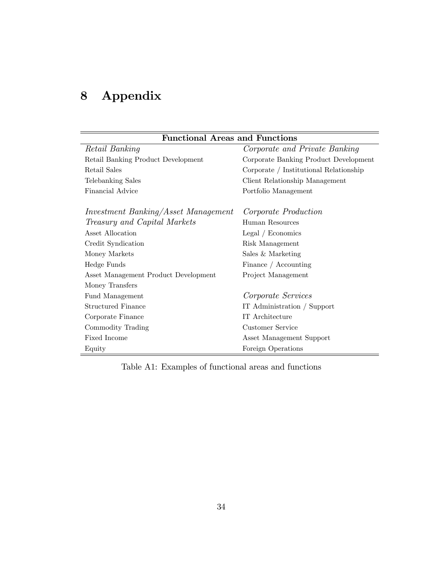## 8 Appendix

| <b>Functional Areas and Functions</b>      |                                        |  |  |  |
|--------------------------------------------|----------------------------------------|--|--|--|
| Retail Banking                             | Corporate and Private Banking          |  |  |  |
| Retail Banking Product Development         | Corporate Banking Product Development  |  |  |  |
| Retail Sales                               | Corporate / Institutional Relationship |  |  |  |
| Telebanking Sales                          | Client Relationship Management         |  |  |  |
| Financial Advice                           | Portfolio Management                   |  |  |  |
| <i>Investment Banking/Asset Management</i> | Corporate Production                   |  |  |  |
| Treasury and Capital Markets               | Human Resources                        |  |  |  |
| Asset Allocation                           | Legal / Economics                      |  |  |  |
| Credit Syndication                         | Risk Management                        |  |  |  |
| Money Markets                              | Sales & Marketing                      |  |  |  |
| Hedge Funds                                | Finance / Accounting                   |  |  |  |
| Asset Management Product Development       | Project Management                     |  |  |  |
| Money Transfers                            |                                        |  |  |  |
| Fund Management                            | Corporate Services                     |  |  |  |
| <b>Structured Finance</b>                  | IT Administration / Support            |  |  |  |
| Corporate Finance                          | IT Architecture                        |  |  |  |
| Commodity Trading                          | Customer Service                       |  |  |  |
| Fixed Income                               | Asset Management Support               |  |  |  |
| Equity                                     | Foreign Operations                     |  |  |  |

Table A1: Examples of functional areas and functions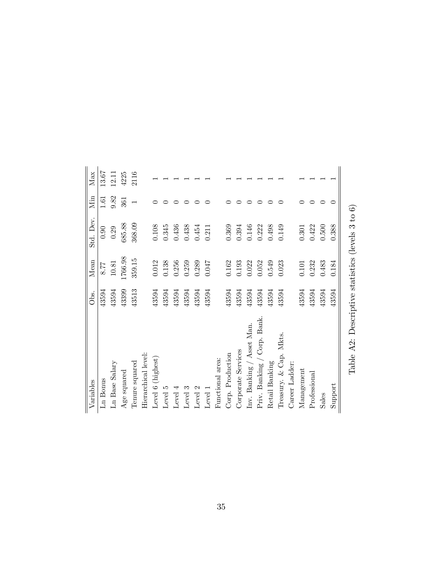| Variables                   | Obs.  | Mean      | Std. Dev. | Min                      | Max   |
|-----------------------------|-------|-----------|-----------|--------------------------|-------|
| Ln Bonus                    | 43594 | 8.77      | 0.90      | 1.61                     | 13.67 |
| Ln Base Salary              | 43594 | $10.81\,$ | 0.29      | 9.82                     | 12.11 |
| Age squared                 | 43399 | 1766.98   | 685.88    | 361                      | 4225  |
| Tenure squared              | 43513 | 359.15    | 368.09    | $\overline{\phantom{0}}$ | 2116  |
| Hierarchical level:         |       |           |           |                          |       |
| Level 6 (highest)           | 43594 | $0.012\,$ | 0.108     |                          |       |
| Level 5                     | 43594 | 0.138     | 0.345     |                          |       |
| Level 4                     | 43594 | 0.256     | 0.436     |                          |       |
| Level 3                     | 43594 | 0.259     | 0.438     |                          |       |
| Level 2                     | 43594 | 0.289     | 0.454     |                          |       |
| Level 1                     | 43594 | 0.047     | 0.211     |                          |       |
| Functional area:            |       |           |           |                          |       |
| Corp. Production            | 43594 | 0.162     | 0.369     |                          |       |
| Corporate Services          | 43594 | 0.193     | 0.394     |                          |       |
| Inv. Banking / Asset Man.   | 43594 | 0.022     | 0.146     |                          |       |
| Priv. Banking / Corp. Bank. | 43594 | 0.052     | 0.222     |                          |       |
| Retail Banking              | 43594 | 0.549     | 0.498     |                          |       |
| Treasury. & Cap. Mkts.      | 43594 | 0.023     | 0.149     |                          |       |
| Career Ladder:              |       |           |           |                          |       |
| Management                  | 43594 | 0.101     | $\!0.301$ |                          |       |
| Professional                | 43594 | 0.232     | 0.422     |                          |       |
| Sales                       | 43594 | 0.483     | 0.500     |                          |       |
| Support                     | 43594 | 0.184     | 0.388     |                          |       |
|                             |       |           |           |                          |       |

Table A2: Descriptive statistics (levels  $3$  to  $6)$ Table A2: Descriptive statistics (levels 3 to 6)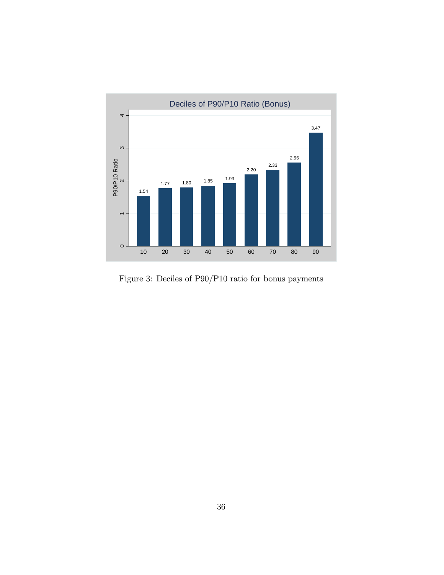

Figure 3: Deciles of P90/P10 ratio for bonus payments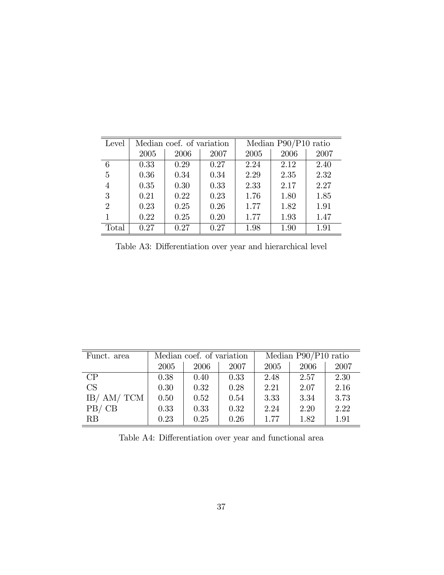| Level          | Median coef. of variation |      |      | Median P90/P10 ratio |      |      |  |
|----------------|---------------------------|------|------|----------------------|------|------|--|
|                | 2005                      | 2006 | 2007 | 2005                 | 2006 | 2007 |  |
| 6              | 0.33                      | 0.29 | 0.27 | 2.24                 | 2.12 | 2.40 |  |
| 5              | 0.36                      | 0.34 | 0.34 | 2.29                 | 2.35 | 2.32 |  |
| $\overline{4}$ | 0.35                      | 0.30 | 0.33 | 2.33                 | 2.17 | 2.27 |  |
| 3              | 0.21                      | 0.22 | 0.23 | 1.76                 | 1.80 | 1.85 |  |
| $\overline{2}$ | 0.23                      | 0.25 | 0.26 | 1.77                 | 1.82 | 1.91 |  |
|                | 0.22                      | 0.25 | 0.20 | 1.77                 | 1.93 | 1.47 |  |
| Total          | 0.27                      | 0.27 | 0.27 | 1.98                 | 1.90 | 1.91 |  |

Table A3: Differentiation over year and hierarchical level

| Funct. area |      | Median coef. of variation |      | Median $P90/P10$ ratio |      |      |
|-------------|------|---------------------------|------|------------------------|------|------|
|             | 2005 | 2006                      | 2007 | 2005                   | 2006 | 2007 |
| CP          | 0.38 | 0.40                      | 0.33 | 2.48                   | 2.57 | 2.30 |
| CS          | 0.30 | 0.32                      | 0.28 | 2.21                   | 2.07 | 2.16 |
| IB/ AM/ TCM | 0.50 | 0.52                      | 0.54 | 3.33                   | 3.34 | 3.73 |
| PB/CB       | 0.33 | 0.33                      | 0.32 | 2.24                   | 2.20 | 2.22 |
| RB          | 0.23 | 0.25                      | 0.26 | 1.77                   | 1.82 | 1.91 |

Table A4: Differentiation over year and functional area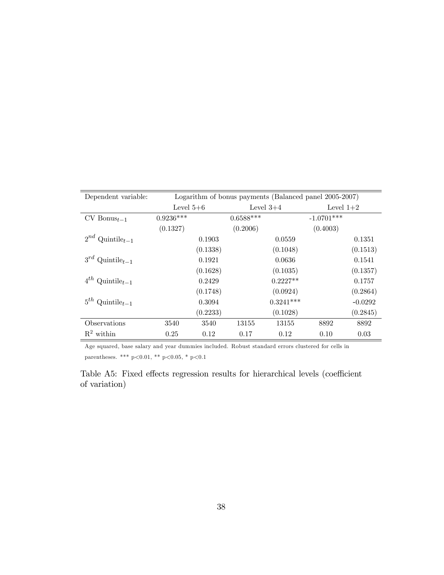| Dependent variable:              | Logarithm of bonus payments (Balanced panel 2005-2007) |          |             |             |              |           |  |
|----------------------------------|--------------------------------------------------------|----------|-------------|-------------|--------------|-----------|--|
|                                  | Level $5+6$                                            |          | Level $3+4$ |             | Level $1+2$  |           |  |
| $CV$ Bonus $_{t-1}$              | $0.9236***$                                            |          | $0.6588***$ |             | $-1.0701***$ |           |  |
|                                  | (0.1327)                                               |          | (0.2006)    |             | (0.4003)     |           |  |
| $2^{nd}$ Quintile <sub>t-1</sub> |                                                        | 0.1903   |             | 0.0559      |              | 0.1351    |  |
|                                  |                                                        | (0.1338) |             | (0.1048)    |              | (0.1513)  |  |
| $3^{rd}$ Quintile <sub>t-1</sub> |                                                        | 0.1921   |             | 0.0636      |              | 0.1541    |  |
|                                  |                                                        | (0.1628) |             | (0.1035)    |              | (0.1357)  |  |
| $4^{th}$ Quintile <sub>t-1</sub> |                                                        | 0.2429   |             | $0.2227**$  |              | 0.1757    |  |
|                                  |                                                        | (0.1748) |             | (0.0924)    |              | (0.2864)  |  |
| $5^{th}$ Quintile <sub>t-1</sub> |                                                        | 0.3094   |             | $0.3241***$ |              | $-0.0292$ |  |
|                                  |                                                        | (0.2233) |             | (0.1028)    |              | (0.2845)  |  |
| Observations                     | 3540                                                   | 3540     | 13155       | 13155       | 8892         | 8892      |  |
| $R^2$ within                     | 0.25                                                   | 0.12     | 0.17        | 0.12        | 0.10         | 0.03      |  |

Age squared, base salary and year dummies included. Robust standard errors clustered for cells in parentheses. \*\*\* p<0.01, \*\* p<0.05, \* p<0.1

Table A5: Fixed effects regression results for hierarchical levels (coefficient of variation)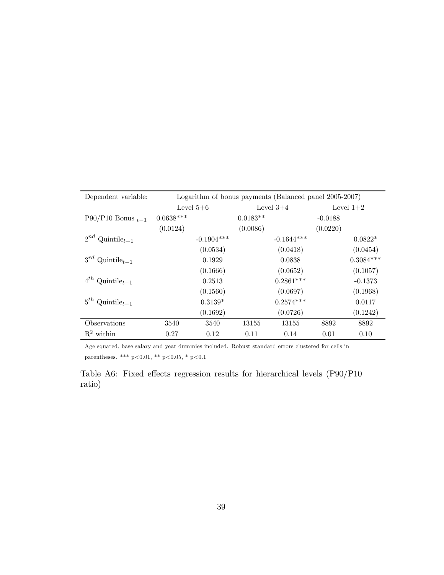| Dependent variable:              | Logarithm of bonus payments (Balanced panel 2005-2007) |              |             |              |             |             |  |
|----------------------------------|--------------------------------------------------------|--------------|-------------|--------------|-------------|-------------|--|
|                                  | Level $5+6$                                            |              | Level $3+4$ |              | Level $1+2$ |             |  |
| P90/P10 Bonus $_{t-1}$           | $0.0638***$                                            |              | $0.0183**$  |              | $-0.0188$   |             |  |
|                                  | (0.0124)                                               |              | (0.0086)    |              | (0.0220)    |             |  |
| $2^{nd}$ Quintile <sub>t-1</sub> |                                                        | $-0.1904***$ |             | $-0.1644***$ |             | $0.0822*$   |  |
|                                  |                                                        | (0.0534)     |             | (0.0418)     |             | (0.0454)    |  |
| $3^{rd}$ Quintile <sub>t-1</sub> |                                                        | 0.1929       |             | 0.0838       |             | $0.3084***$ |  |
|                                  |                                                        | (0.1666)     |             | (0.0652)     |             | (0.1057)    |  |
| $4^{th}$ Quintile <sub>t-1</sub> |                                                        | 0.2513       |             | $0.2861***$  |             | $-0.1373$   |  |
|                                  |                                                        | (0.1560)     |             | (0.0697)     |             | (0.1968)    |  |
| $5^{th}$ Quintile <sub>t-1</sub> |                                                        | $0.3139*$    |             | $0.2574***$  |             | 0.0117      |  |
|                                  |                                                        | (0.1692)     |             | (0.0726)     |             | (0.1242)    |  |
| Observations                     | 3540                                                   | 3540         | 13155       | 13155        | 8892        | 8892        |  |
| $R^2$ within                     | 0.27                                                   | 0.12         | 0.11        | 0.14         | 0.01        | 0.10        |  |

Age squared, base salary and year dummies included. Robust standard errors clustered for cells in parentheses. \*\*\* p<0.01, \*\* p<0.05, \* p<0.1

Table A6: Fixed effects regression results for hierarchical levels  $(P90/P10$ ratio)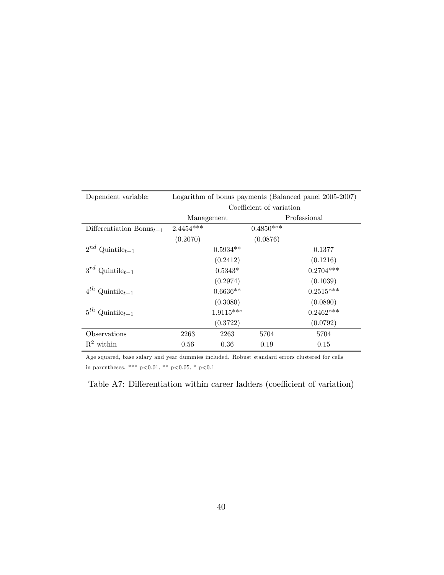| Dependent variable:                     | Logarithm of bonus payments (Balanced panel 2005-2007) |             |             |              |  |  |
|-----------------------------------------|--------------------------------------------------------|-------------|-------------|--------------|--|--|
|                                         | Coefficient of variation                               |             |             |              |  |  |
|                                         | Management                                             |             |             | Professional |  |  |
| Differentiation $B_{\text{onus}_{t-1}}$ | $2.4454***$                                            |             | $0.4850***$ |              |  |  |
|                                         | (0.2070)                                               |             | (0.0876)    |              |  |  |
| $2^{nd}$ Quintile <sub>t-1</sub>        |                                                        | $0.5934**$  |             | 0.1377       |  |  |
|                                         |                                                        | (0.2412)    |             | (0.1216)     |  |  |
| $3^{rd}$ Quintile <sub>t-1</sub>        |                                                        | $0.5343*$   |             | $0.2704***$  |  |  |
|                                         |                                                        | (0.2974)    |             | (0.1039)     |  |  |
| $4^{th}$ Quintile <sub>t-1</sub>        |                                                        | $0.6636**$  |             | $0.2515***$  |  |  |
|                                         |                                                        | (0.3080)    |             | (0.0890)     |  |  |
| $5^{th}$ Quintile <sub>t-1</sub>        |                                                        | $1.9115***$ |             | $0.2462***$  |  |  |
|                                         |                                                        | (0.3722)    |             | (0.0792)     |  |  |
| Observations                            | 2263                                                   | 2263        | 5704        | 5704         |  |  |
| $R^2$ within                            | 0.56                                                   | 0.36        | 0.19        | 0.15         |  |  |

Age squared, base salary and year dummies included. Robust standard errors clustered for cells in parentheses. \*\*\* p<0.01, \*\* p<0.05, \* p<0.1

Table A7: Differentiation within career ladders (coefficient of variation)